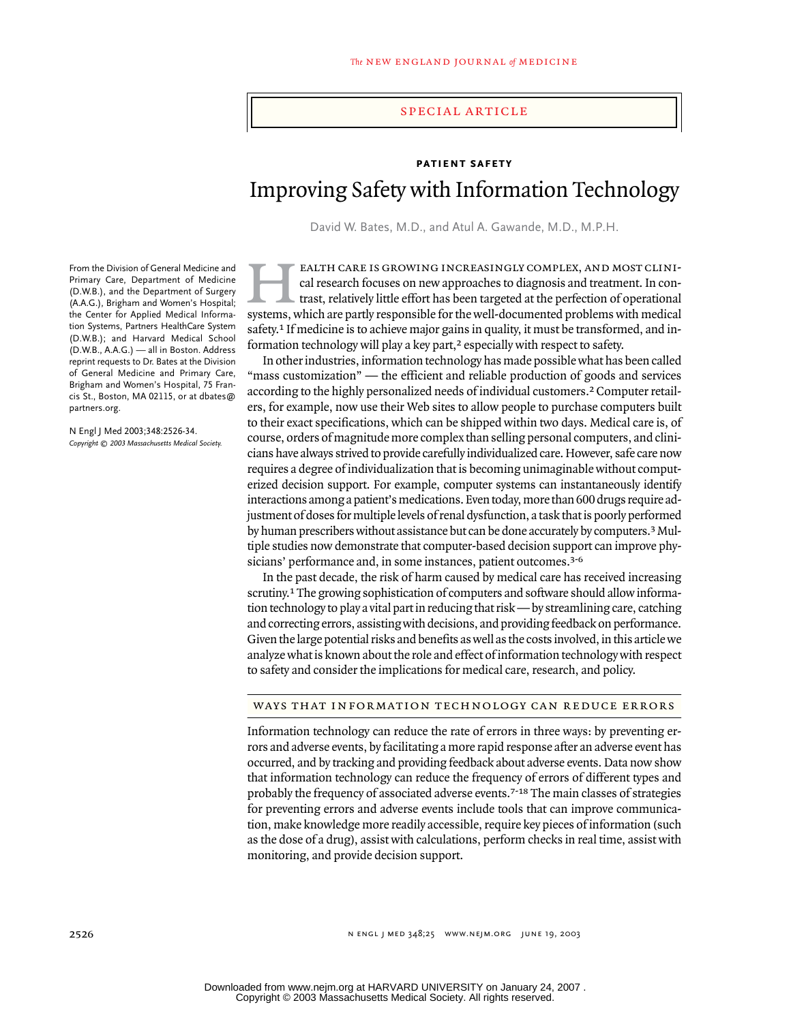## special article

# **patient safety**Improving Safety with Information Technology

David W. Bates, M.D., and Atul A. Gawande, M.D., M.P.H.

From the Division of General Medicine and Primary Care, Department of Medicine (D.W.B.), and the Department of Surgery (A.A.G.), Brigham and Women's Hospital; the Center for Applied Medical Information Systems, Partners HealthCare System (D.W.B.); and Harvard Medical School (D.W.B., A.A.G.) — all in Boston. Address reprint requests to Dr. Bates at the Division of General Medicine and Primary Care, Brigham and Women's Hospital, 75 Francis St., Boston, MA 02115, or at dbates@ partners.org.

N Engl J Med 2003;348:2526-34. *Copyright © 2003 Massachusetts Medical Society.*

ealth care is growing increasingly complex, and most clinical research focuses on new approaches to diagnosis and treatment. In contrast, relatively little effort has been targeted at the perfection of operational systems, which are partly responsible for the well-documented problems with medical safety.1 If medicine is to achieve major gains in quality, it must be transformed, and information technology will play a key part,<sup>2</sup> especially with respect to safety. h

In other industries, information technology has made possible what has been called "mass customization" — the efficient and reliable production of goods and services according to the highly personalized needs of individual customers.2 Computer retailers, for example, now use their Web sites to allow people to purchase computers built to their exact specifications, which can be shipped within two days. Medical care is, of course, orders of magnitude more complex than selling personal computers, and clinicians have always strived to provide carefully individualized care. However, safe care now requires a degree of individualization that is becoming unimaginable without computerized decision support. For example, computer systems can instantaneously identify interactions among a patient's medications. Even today, more than 600 drugs require adjustment of doses for multiple levels of renal dysfunction, a task that is poorly performed by human prescribers without assistance but can be done accurately by computers.<sup>3</sup> Multiple studies now demonstrate that computer-based decision support can improve physicians' performance and, in some instances, patient outcomes.<sup>3-6</sup>

In the past decade, the risk of harm caused by medical care has received increasing scrutiny.<sup>1</sup> The growing sophistication of computers and software should allow information technology to play a vital part in reducing that risk — by streamlining care, catching and correcting errors, assisting with decisions, and providing feedback on performance. Given the large potential risks and benefits as well as the costs involved, in this article we analyze what is known about the role and effect of information technology with respect to safety and consider the implications for medical care, research, and policy.

## ways that information technology can reduce errors

Information technology can reduce the rate of errors in three ways: by preventing errors and adverse events, by facilitating a more rapid response after an adverse event has occurred, and by tracking and providing feedback about adverse events. Data now show that information technology can reduce the frequency of errors of different types and probably the frequency of associated adverse events.<sup>7-18</sup> The main classes of strategies for preventing errors and adverse events include tools that can improve communication, make knowledge more readily accessible, require key pieces of information (such as the dose of a drug), assist with calculations, perform checks in real time, assist with monitoring, and provide decision support.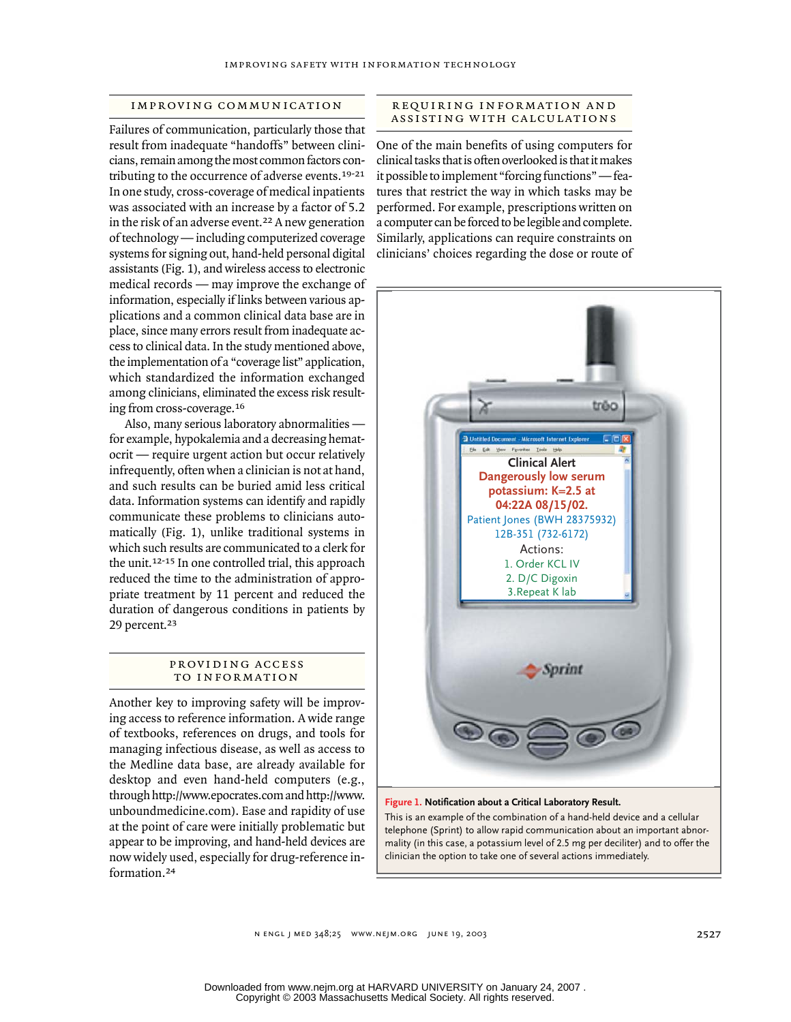## improving communication

Failures of communication, particularly those that result from inadequate "handoffs" between clinicians, remain among the most common factors contributing to the occurrence of adverse events.19-21 In one study, cross-coverage of medical inpatients was associated with an increase by a factor of 5.2 in the risk of an adverse event.<sup>22</sup> A new generation of technology — including computerized coverage systems for signing out, hand-held personal digital assistants (Fig. 1), and wireless access to electronic medical records — may improve the exchange of information, especially if links between various applications and a common clinical data base are in place, since many errors result from inadequate access to clinical data. In the study mentioned above, the implementation of a "coverage list" application, which standardized the information exchanged among clinicians, eliminated the excess risk resulting from cross-coverage.<sup>16</sup>

Also, many serious laboratory abnormalities for example, hypokalemia and a decreasing hematocrit — require urgent action but occur relatively infrequently, often when a clinician is not at hand, and such results can be buried amid less critical data. Information systems can identify and rapidly communicate these problems to clinicians automatically (Fig. 1), unlike traditional systems in which such results are communicated to a clerk for the unit.12-15 In one controlled trial, this approach reduced the time to the administration of appropriate treatment by 11 percent and reduced the duration of dangerous conditions in patients by 29 percent.<sup>23</sup>

## providing access to information

Another key to improving safety will be improving access to reference information. A wide range of textbooks, references on drugs, and tools for managing infectious disease, as well as access to the Medline data base, are already available for desktop and even hand-held computers (e.g., through http://www.epocrates.com and http://www. unboundmedicine.com). Ease and rapidity of use at the point of care were initially problematic but appear to be improving, and hand-held devices are now widely used, especially for drug-reference information.<sup>24</sup>

## requiring information and assisting with calculations

One of the main benefits of using computers for clinical tasks that is often overlooked is that it makes it possible to implement "forcing functions" — features that restrict the way in which tasks may be performed. For example, prescriptions written on a computer can be forced to be legible and complete. Similarly, applications can require constraints on clinicians' choices regarding the dose or route of



**Figure 1. Notification about a Critical Laboratory Result.**

This is an example of the combination of a hand-held device and a cellular telephone (Sprint) to allow rapid communication about an important abnormality (in this case, a potassium level of 2.5 mg per deciliter) and to offer the clinician the option to take one of several actions immediately.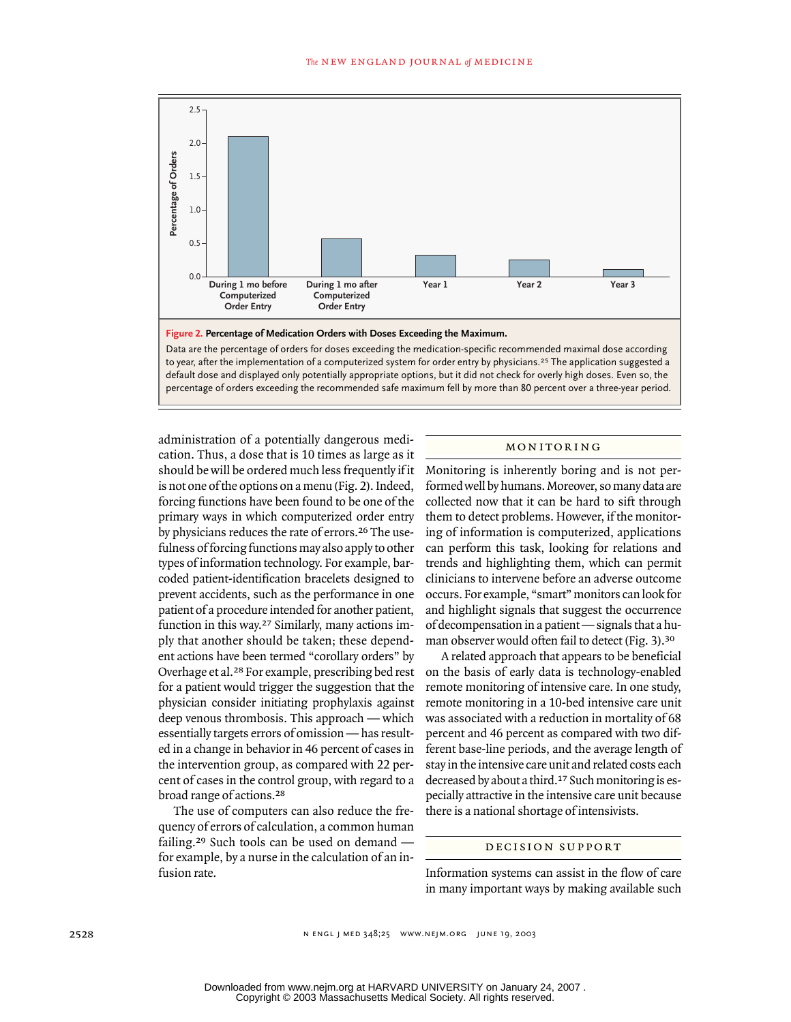

administration of a potentially dangerous medication. Thus, a dose that is 10 times as large as it should be will be ordered much less frequently if it is not one of the options on a menu (Fig. 2). Indeed, forcing functions have been found to be one of the primary ways in which computerized order entry by physicians reduces the rate of errors.26 The usefulness of forcing functions may also apply to other types of information technology. For example, barcoded patient-identification bracelets designed to prevent accidents, such as the performance in one patient of a procedure intended for another patient, function in this way.27 Similarly, many actions imply that another should be taken; these dependent actions have been termed "corollary orders" by Overhage et al.28 For example, prescribing bed rest for a patient would trigger the suggestion that the physician consider initiating prophylaxis against deep venous thrombosis. This approach — which essentially targets errors of omission — has resulted in a change in behavior in 46 percent of cases in the intervention group, as compared with 22 percent of cases in the control group, with regard to a broad range of actions.<sup>28</sup>

The use of computers can also reduce the frequency of errors of calculation, a common human failing.<sup>29</sup> Such tools can be used on demand for example, by a nurse in the calculation of an infusion rate.

#### monitoring

Monitoring is inherently boring and is not performed well by humans. Moreover, so many data are collected now that it can be hard to sift through them to detect problems. However, if the monitoring of information is computerized, applications can perform this task, looking for relations and trends and highlighting them, which can permit clinicians to intervene before an adverse outcome occurs. For example, "smart" monitors can look for and highlight signals that suggest the occurrence of decompensation in a patient — signals that a human observer would often fail to detect (Fig. 3).<sup>30</sup>

A related approach that appears to be beneficial on the basis of early data is technology-enabled remote monitoring of intensive care. In one study, remote monitoring in a 10-bed intensive care unit was associated with a reduction in mortality of 68 percent and 46 percent as compared with two different base-line periods, and the average length of stay in the intensive care unit and related costs each decreased by about a third.17 Such monitoring is especially attractive in the intensive care unit because there is a national shortage of intensivists.

## decision support

Information systems can assist in the flow of care in many important ways by making available such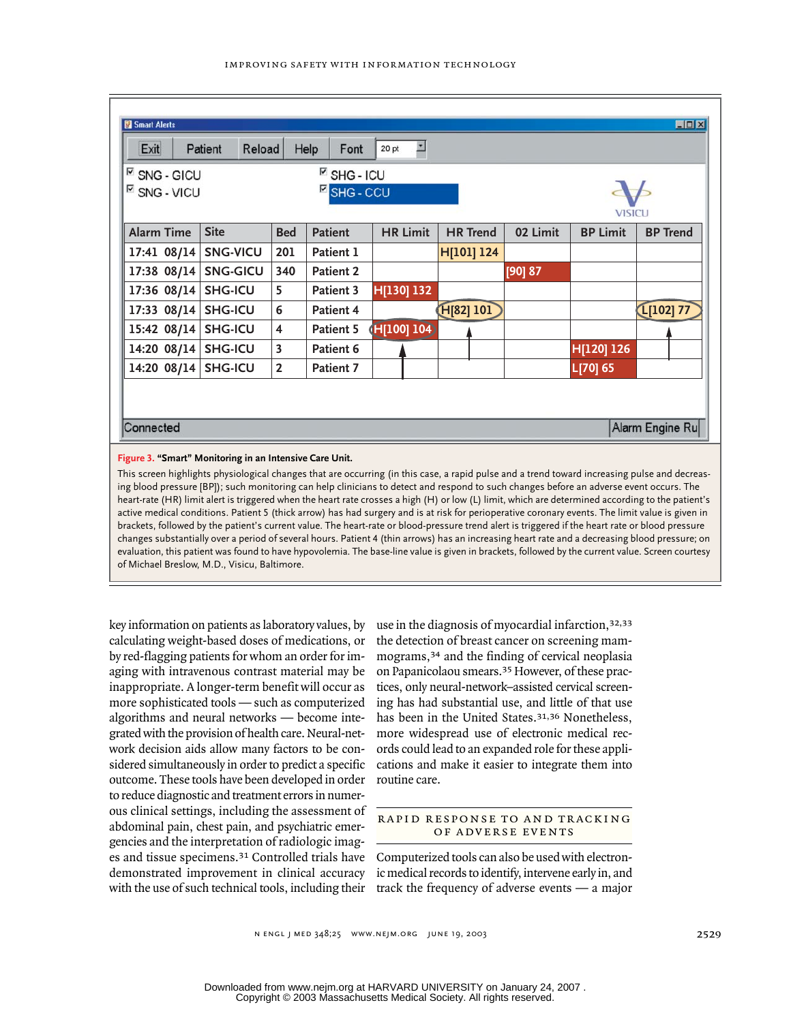| Exit              |                                                  | Reload<br>Patient   |                         | Help<br>Font               | $\cdot$<br>20 pt |                 |          |                 |                 |
|-------------------|--------------------------------------------------|---------------------|-------------------------|----------------------------|------------------|-----------------|----------|-----------------|-----------------|
|                   | $E$ SNG - GICU<br><b><sup>⊠</sup> SNG - VICU</b> |                     |                         | $E$ SHG - ICU<br>SHG - CCU |                  |                 |          | <b>VISICU</b>   |                 |
| <b>Alarm Time</b> |                                                  | <b>Site</b>         | <b>Bed</b>              | <b>Patient</b>             | <b>HR Limit</b>  | <b>HR</b> Trend | 02 Limit | <b>BP Limit</b> | <b>BP</b> Trend |
|                   | $17:41$ 08/14                                    | <b>SNG-VICU</b>     | 201                     | Patient 1                  |                  | H[101] 124      |          |                 |                 |
|                   | 17:38 $08/14$                                    | <b>SNG-GICU</b>     | 340                     | <b>Patient 2</b>           |                  |                 | [90] 87  |                 |                 |
|                   | 17:36 $08/14$                                    | <b>SHG-ICU</b>      | 5                       | Patient 3                  | H[130] 132       |                 |          |                 |                 |
|                   | 17:33 $08/14$                                    | <b>SHG-ICU</b>      | 6                       | Patient 4                  |                  | H[82] 101       |          |                 | $L[102]$ 77     |
|                   | 15:42 $08/14$                                    | SHG-ICU             | $\overline{\mathbf{4}}$ | Patient 5                  | (H[100] 104)     |                 |          |                 |                 |
|                   |                                                  | 14:20 08/14 SHG-ICU | 3                       | Patient 6                  |                  |                 |          | H[120] 126      |                 |
|                   |                                                  | 14:20 08/14 SHG-ICU | $\overline{\mathbf{2}}$ | <b>Patient 7</b>           |                  |                 |          | L[70] 65        |                 |
| Connected         |                                                  |                     |                         |                            |                  |                 |          |                 | Alarm Engine Ru |

This screen highlights physiological changes that are occurring (in this case, a rapid pulse and a trend toward increasing pulse and decreasing blood pressure [BP]); such monitoring can help clinicians to detect and respond to such changes before an adverse event occurs. The heart-rate (HR) limit alert is triggered when the heart rate crosses a high (H) or low (L) limit, which are determined according to the patient's active medical conditions. Patient 5 (thick arrow) has had surgery and is at risk for perioperative coronary events. The limit value is given in brackets, followed by the patient's current value. The heart-rate or blood-pressure trend alert is triggered if the heart rate or blood pressure changes substantially over a period of several hours. Patient 4 (thin arrows) has an increasing heart rate and a decreasing blood pressure; on evaluation, this patient was found to have hypovolemia. The base-line value is given in brackets, followed by the current value. Screen courtesy of Michael Breslow, M.D., Visicu, Baltimore.

key information on patients as laboratory values, by calculating weight-based doses of medications, or by red-flagging patients for whom an order for imaging with intravenous contrast material may be inappropriate. A longer-term benefit will occur as more sophisticated tools — such as computerized algorithms and neural networks — become integrated with the provision of health care. Neural-network decision aids allow many factors to be considered simultaneously in order to predict a specific outcome. These tools have been developed in order to reduce diagnostic and treatment errors in numerous clinical settings, including the assessment of abdominal pain, chest pain, and psychiatric emergencies and the interpretation of radiologic images and tissue specimens.31 Controlled trials have demonstrated improvement in clinical accuracy with the use of such technical tools, including their

use in the diagnosis of myocardial infarction,32,33 the detection of breast cancer on screening mammograms,34 and the finding of cervical neoplasia on Papanicolaou smears.35 However, of these practices, only neural-network–assisted cervical screening has had substantial use, and little of that use has been in the United States.<sup>31,36</sup> Nonetheless, more widespread use of electronic medical records could lead to an expanded role for these applications and make it easier to integrate them into routine care.

## rapid response to and tracking of adverse events

Computerized tools can also be used with electronic medical records to identify, intervene early in, and track the frequency of adverse events — a major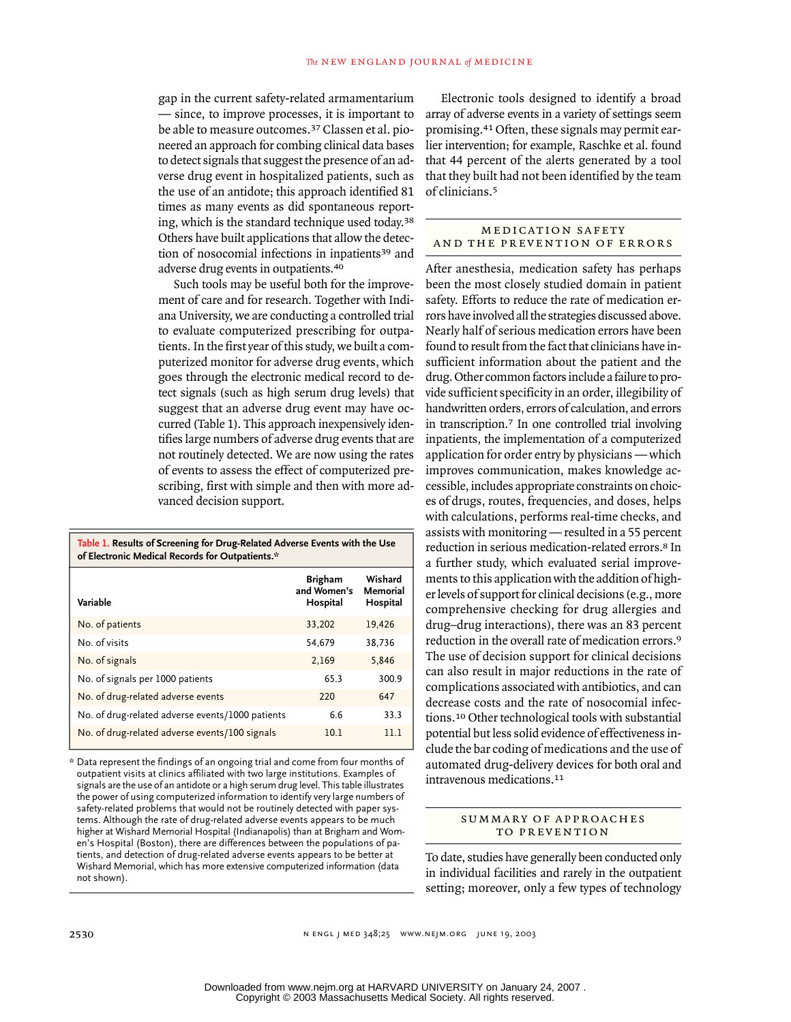gap in the current safety-related armamentarium — since, to improve processes, it is important to be able to measure outcomes.37 Classen et al. pioneered an approach for combing clinical data bases to detect signals that suggest the presence of an adverse drug event in hospitalized patients, such as the use of an antidote; this approach identified 81 times as many events as did spontaneous reporting, which is the standard technique used today.<sup>38</sup> Others have built applications that allow the detection of nosocomial infections in inpatients<sup>39</sup> and adverse drug events in outpatients.<sup>40</sup>

Such tools may be useful both for the improvement of care and for research. Together with Indiana University, we are conducting a controlled trial to evaluate computerized prescribing for outpatients. In the first year of this study, we built a computerized monitor for adverse drug events, which goes through the electronic medical record to detect signals (such as high serum drug levels) that suggest that an adverse drug event may have occurred (Table 1). This approach inexpensively identifies large numbers of adverse drug events that are not routinely detected. We are now using the rates of events to assess the effect of computerized prescribing, first with simple and then with more advanced decision support.

**Table 1. Results of Screening for Drug-Related Adverse Events with the Use of Electronic Medical Records for Outpatients.\***

| Variable                                         | <b>Brigham</b><br>and Women's<br>Hospital | Wishard<br>Memorial<br>Hospital |
|--------------------------------------------------|-------------------------------------------|---------------------------------|
| No. of patients                                  | 33,202                                    | 19,426                          |
| No. of visits                                    | 54.679                                    | 38.736                          |
| No. of signals                                   | 2,169                                     | 5.846                           |
| No. of signals per 1000 patients                 | 65.3                                      | 300.9                           |
| No. of drug-related adverse events               | 220                                       | 647                             |
| No. of drug-related adverse events/1000 patients | 6.6                                       | 33.3                            |
| No. of drug-related adverse events/100 signals   | 10.1                                      | 11.1                            |

\* Data represent the findings of an ongoing trial and come from four months of outpatient visits at clinics affiliated with two large institutions. Examples of signals are the use of an antidote or a high serum drug level. This table illustrates the power of using computerized information to identify very large numbers of safety-related problems that would not be routinely detected with paper systems. Although the rate of drug-related adverse events appears to be much higher at Wishard Memorial Hospital (Indianapolis) than at Brigham and Women's Hospital (Boston), there are differences between the populations of patients, and detection of drug-related adverse events appears to be better at Wishard Memorial, which has more extensive computerized information (data not shown).

Electronic tools designed to identify a broad array of adverse events in a variety of settings seem promising.41 Often, these signals may permit earlier intervention; for example, Raschke et al. found that 44 percent of the alerts generated by a tool that they built had not been identified by the team of clinicians.<sup>5</sup>

### medication safety and the prevention of errors

After anesthesia, medication safety has perhaps been the most closely studied domain in patient safety. Efforts to reduce the rate of medication errors have involved all the strategies discussed above. Nearly half of serious medication errors have been found to result from the fact that clinicians have insufficient information about the patient and the drug. Other common factors include a failure to provide sufficient specificity in an order, illegibility of handwritten orders, errors of calculation, and errors in transcription.7 In one controlled trial involving inpatients, the implementation of a computerized application for order entry by physicians — which improves communication, makes knowledge accessible, includes appropriate constraints on choices of drugs, routes, frequencies, and doses, helps with calculations, performs real-time checks, and assists with monitoring — resulted in a 55 percent reduction in serious medication-related errors.8 In a further study, which evaluated serial improvements to this application with the addition of higher levels of support for clinical decisions (e.g., more comprehensive checking for drug allergies and drug–drug interactions), there was an 83 percent reduction in the overall rate of medication errors.<sup>9</sup> The use of decision support for clinical decisions can also result in major reductions in the rate of complications associated with antibiotics, and can decrease costs and the rate of nosocomial infections.10 Other technological tools with substantial potential but less solid evidence of effectiveness include the bar coding of medications and the use of automated drug-delivery devices for both oral and intravenous medications.<sup>11</sup>

## summary of approaches to prevention

To date, studies have generally been conducted only in individual facilities and rarely in the outpatient setting; moreover, only a few types of technology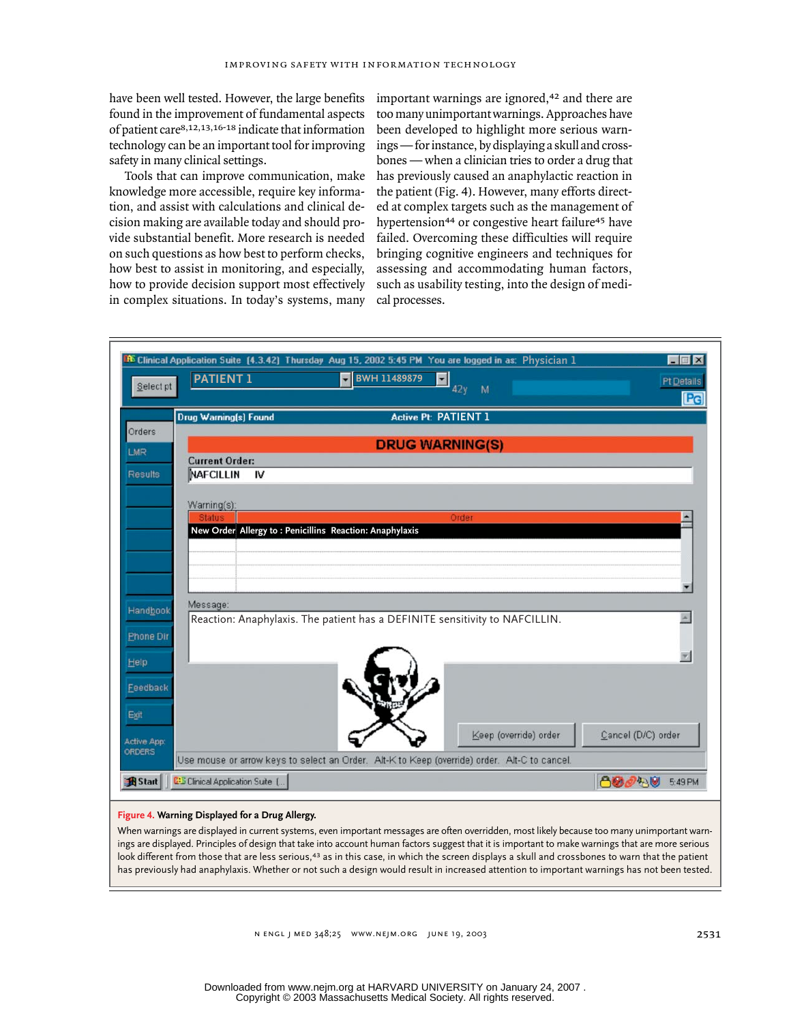have been well tested. However, the large benefits found in the improvement of fundamental aspects of patient care8,12,13,16-18 indicate that information technology can be an important tool for improving safety in many clinical settings.

Tools that can improve communication, make knowledge more accessible, require key information, and assist with calculations and clinical decision making are available today and should provide substantial benefit. More research is needed on such questions as how best to perform checks, how best to assist in monitoring, and especially, how to provide decision support most effectively in complex situations. In today's systems, many

important warnings are ignored,<sup>42</sup> and there are too many unimportant warnings. Approaches have been developed to highlight more serious warnings — for instance, by displaying a skull and crossbones — when a clinician tries to order a drug that has previously caused an anaphylactic reaction in the patient (Fig. 4). However, many efforts directed at complex targets such as the management of hypertension<sup>44</sup> or congestive heart failure<sup>45</sup> have failed. Overcoming these difficulties will require bringing cognitive engineers and techniques for assessing and accommodating human factors, such as usability testing, into the design of medical processes.

| Drug Warning(s) Found                                                                        | <b>Active Pt: PATIENT 1</b> |                       |                    |
|----------------------------------------------------------------------------------------------|-----------------------------|-----------------------|--------------------|
|                                                                                              | <b>DRUG WARNING(S)</b>      |                       |                    |
| <b>Current Order:</b><br>NAFCILLIN<br>IV                                                     |                             |                       |                    |
|                                                                                              |                             |                       |                    |
| Warning(s):                                                                                  |                             |                       |                    |
| <b>Status</b><br>New Order Allergy to: Penicillins Reaction: Anaphylaxis                     |                             | Order                 |                    |
|                                                                                              |                             |                       |                    |
|                                                                                              |                             |                       |                    |
|                                                                                              |                             |                       |                    |
| Message:                                                                                     |                             |                       |                    |
| Reaction: Anaphylaxis. The patient has a DEFINITE sensitivity to NAFCILLIN.                  |                             |                       |                    |
|                                                                                              |                             |                       |                    |
|                                                                                              |                             |                       |                    |
|                                                                                              |                             |                       |                    |
|                                                                                              |                             |                       |                    |
|                                                                                              |                             |                       |                    |
|                                                                                              |                             |                       |                    |
|                                                                                              |                             | Keep (override) order | Cancel (D/C) order |
| Use mouse or arrow keys to select an Order. Alt-K to Keep (override) order. Alt-C to cancel. |                             |                       |                    |

When warnings are displayed in current systems, even important messages are often overridden, most likely because too many unimportant warnings are displayed. Principles of design that take into account human factors suggest that it is important to make warnings that are more serious look different from those that are less serious,43 as in this case, in which the screen displays a skull and crossbones to warn that the patient has previously had anaphylaxis. Whether or not such a design would result in increased attention to important warnings has not been tested.

n engl j med 348;25 www.nejm.org june 19, 2003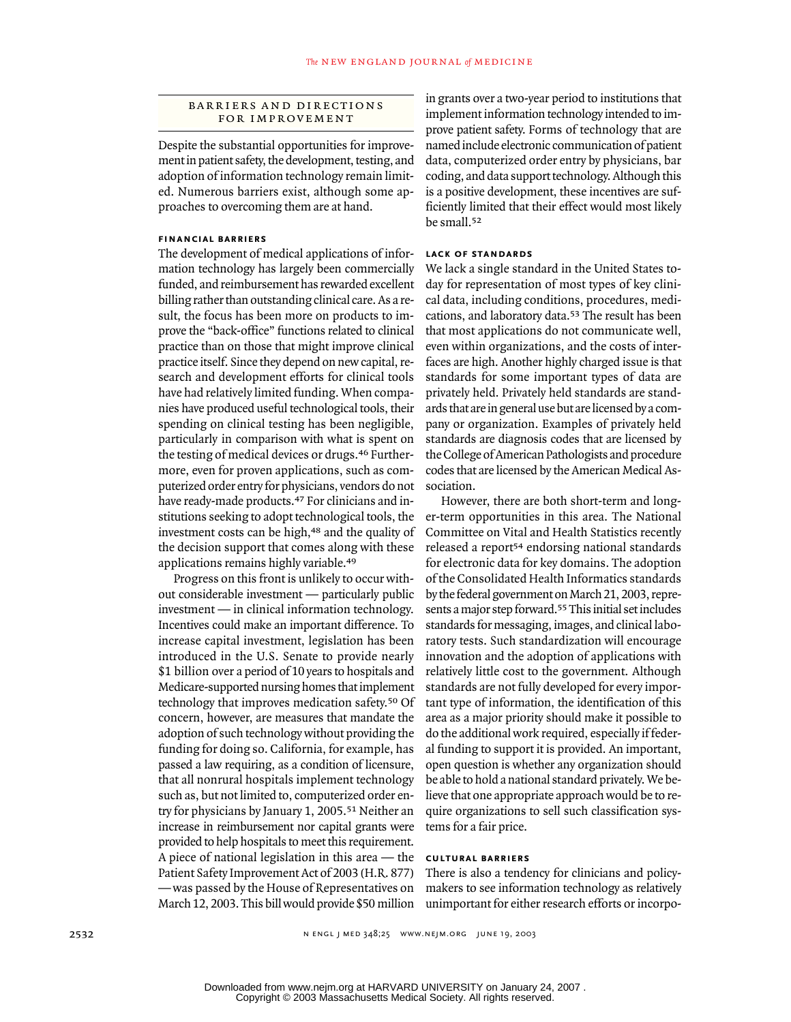## barriers and directions for improvement

Despite the substantial opportunities for improvement in patient safety, the development, testing, and adoption of information technology remain limited. Numerous barriers exist, although some approaches to overcoming them are at hand.

## **financial barriers**

The development of medical applications of information technology has largely been commercially funded, and reimbursement has rewarded excellent billing rather than outstanding clinical care. As a result, the focus has been more on products to improve the "back-office" functions related to clinical practice than on those that might improve clinical practice itself. Since they depend on new capital, research and development efforts for clinical tools have had relatively limited funding. When companies have produced useful technological tools, their spending on clinical testing has been negligible, particularly in comparison with what is spent on the testing of medical devices or drugs.46 Furthermore, even for proven applications, such as computerized order entry for physicians, vendors do not have ready-made products.<sup>47</sup> For clinicians and institutions seeking to adopt technological tools, the investment costs can be high,<sup>48</sup> and the quality of the decision support that comes along with these applications remains highly variable.<sup>49</sup>

Progress on this front is unlikely to occur without considerable investment — particularly public investment — in clinical information technology. Incentives could make an important difference. To increase capital investment, legislation has been introduced in the U.S. Senate to provide nearly \$1 billion over a period of 10 years to hospitals and Medicare-supported nursing homes that implement technology that improves medication safety.50 Of concern, however, are measures that mandate the adoption of such technology without providing the funding for doing so. California, for example, has passed a law requiring, as a condition of licensure, that all nonrural hospitals implement technology such as, but not limited to, computerized order entry for physicians by January 1, 2005.51 Neither an increase in reimbursement nor capital grants were provided to help hospitals to meet this requirement. A piece of national legislation in this area — the Patient Safety Improvement Act of 2003 (H.R. 877) — was passed by the House of Representatives on March 12, 2003. This bill would provide \$50 million

in grants over a two-year period to institutions that implement information technology intended to improve patient safety. Forms of technology that are named include electronic communication of patient data, computerized order entry by physicians, bar coding, and data support technology. Although this is a positive development, these incentives are sufficiently limited that their effect would most likely be small.<sup>52</sup>

## **lack of standards**

We lack a single standard in the United States today for representation of most types of key clinical data, including conditions, procedures, medications, and laboratory data.53 The result has been that most applications do not communicate well, even within organizations, and the costs of interfaces are high. Another highly charged issue is that standards for some important types of data are privately held. Privately held standards are standards that are in general use but are licensed by a company or organization. Examples of privately held standards are diagnosis codes that are licensed by the College of American Pathologists and procedure codes that are licensed by the American Medical Association.

However, there are both short-term and longer-term opportunities in this area. The National Committee on Vital and Health Statistics recently released a report54 endorsing national standards for electronic data for key domains. The adoption of the Consolidated Health Informatics standards by the federal government on March 21, 2003, represents a major step forward.55 This initial set includes standards for messaging, images, and clinical laboratory tests. Such standardization will encourage innovation and the adoption of applications with relatively little cost to the government. Although standards are not fully developed for every important type of information, the identification of this area as a major priority should make it possible to do the additional work required, especially if federal funding to support it is provided. An important, open question is whether any organization should be able to hold a national standard privately. We believe that one appropriate approach would be to require organizations to sell such classification systems for a fair price.

## **cultural barriers**

There is also a tendency for clinicians and policymakers to see information technology as relatively unimportant for either research efforts or incorpo-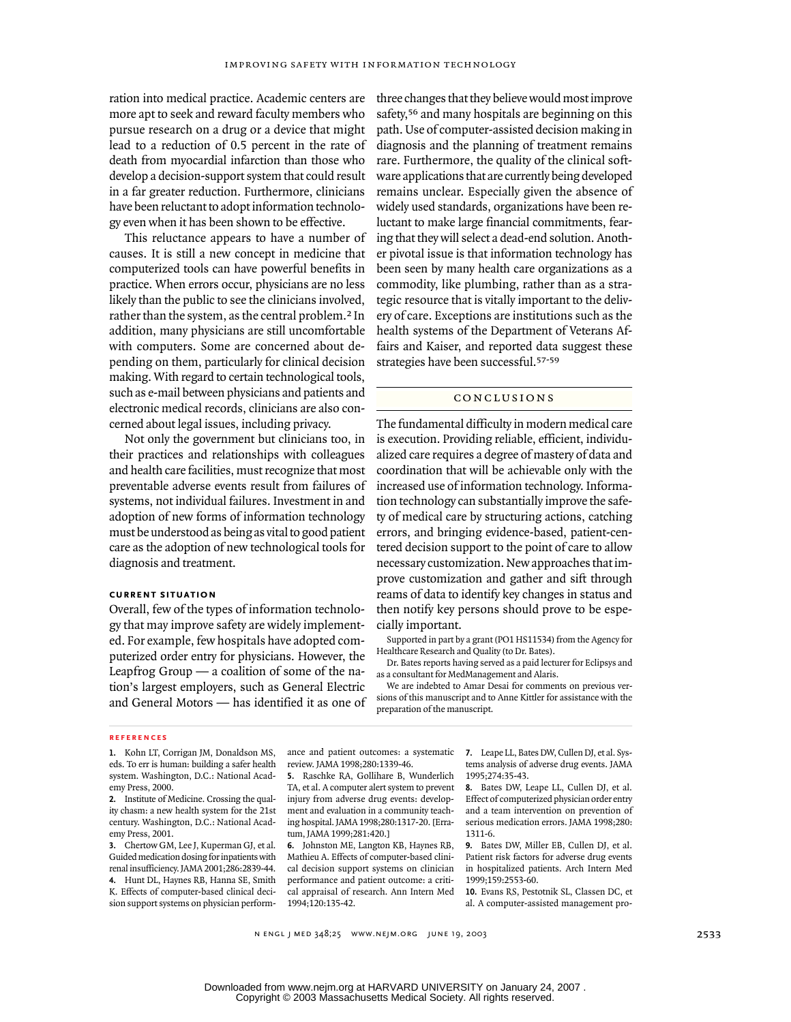ration into medical practice. Academic centers are more apt to seek and reward faculty members who pursue research on a drug or a device that might lead to a reduction of 0.5 percent in the rate of death from myocardial infarction than those who develop a decision-support system that could result in a far greater reduction. Furthermore, clinicians have been reluctant to adopt information technology even when it has been shown to be effective.

This reluctance appears to have a number of causes. It is still a new concept in medicine that computerized tools can have powerful benefits in practice. When errors occur, physicians are no less likely than the public to see the clinicians involved, rather than the system, as the central problem.2 In addition, many physicians are still uncomfortable with computers. Some are concerned about depending on them, particularly for clinical decision making. With regard to certain technological tools, such as e-mail between physicians and patients and electronic medical records, clinicians are also concerned about legal issues, including privacy.

Not only the government but clinicians too, in their practices and relationships with colleagues and health care facilities, must recognize that most preventable adverse events result from failures of systems, not individual failures. Investment in and adoption of new forms of information technology must be understood as being as vital to good patient care as the adoption of new technological tools for diagnosis and treatment.

## **current situation**

Overall, few of the types of information technology that may improve safety are widely implemented. For example, few hospitals have adopted computerized order entry for physicians. However, the Leapfrog Group — a coalition of some of the nation's largest employers, such as General Electric and General Motors — has identified it as one of

three changes that they believe would most improve safety,<sup>56</sup> and many hospitals are beginning on this path. Use of computer-assisted decision making in diagnosis and the planning of treatment remains rare. Furthermore, the quality of the clinical software applications that are currently being developed remains unclear. Especially given the absence of widely used standards, organizations have been reluctant to make large financial commitments, fearing that they will select a dead-end solution. Another pivotal issue is that information technology has been seen by many health care organizations as a commodity, like plumbing, rather than as a strategic resource that is vitally important to the delivery of care. Exceptions are institutions such as the health systems of the Department of Veterans Affairs and Kaiser, and reported data suggest these strategies have been successful.57-59

#### conclusions

The fundamental difficulty in modern medical care is execution. Providing reliable, efficient, individualized care requires a degree of mastery of data and coordination that will be achievable only with the increased use of information technology. Information technology can substantially improve the safety of medical care by structuring actions, catching errors, and bringing evidence-based, patient-centered decision support to the point of care to allow necessary customization. New approaches that improve customization and gather and sift through reams of data to identify key changes in status and then notify key persons should prove to be especially important.

Supported in part by a grant (PO1 HS11534) from the Agency for Healthcare Research and Quality (to Dr. Bates).

Dr. Bates reports having served as a paid lecturer for Eclipsys and as a consultant for MedManagement and Alaris.

We are indebted to Amar Desai for comments on previous versions of this manuscript and to Anne Kittler for assistance with the preparation of the manuscript.

#### **references**

**1.** Kohn LT, Corrigan JM, Donaldson MS, eds. To err is human: building a safer health system. Washington, D.C.: National Academy Press, 2000.

**2.** Institute of Medicine. Crossing the quality chasm: a new health system for the 21st century. Washington, D.C.: National Academy Press, 2001.

**3.** Chertow GM, Lee J, Kuperman GJ, et al. Guided medication dosing for inpatients with renal insufficiency. JAMA 2001;286:2839-44. **4.** Hunt DL, Haynes RB, Hanna SE, Smith K. Effects of computer-based clinical decision support systems on physician performance and patient outcomes: a systematic review. JAMA 1998;280:1339-46.

**5.** Raschke RA, Gollihare B, Wunderlich TA, et al. A computer alert system to prevent injury from adverse drug events: development and evaluation in a community teaching hospital. JAMA 1998;280:1317-20. [Erratum, JAMA 1999;281:420.]

**6.** Johnston ME, Langton KB, Haynes RB, Mathieu A. Effects of computer-based clinical decision support systems on clinician performance and patient outcome: a critical appraisal of research. Ann Intern Med 1994;120:135-42.

**7.** Leape LL, Bates DW, Cullen DJ, et al. Systems analysis of adverse drug events. JAMA 1995;274:35-43.

**8.** Bates DW, Leape LL, Cullen DJ, et al. Effect of computerized physician order entry and a team intervention on prevention of serious medication errors. JAMA 1998;280: 1311-6.

**9.** Bates DW, Miller EB, Cullen DJ, et al. Patient risk factors for adverse drug events in hospitalized patients. Arch Intern Med 1999;159:2553-60.

**10.** Evans RS, Pestotnik SL, Classen DC, et al. A computer-assisted management pro-

n engl j med 348;25 www.nejm.org june 19, 2003

2533